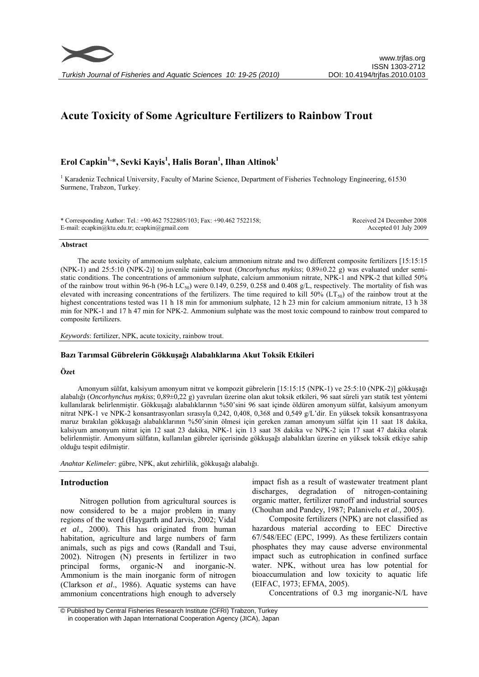

*Turkish Journal of Fisheries and Aquatic Sciences 10: 19-25 (2010)* 

# **Acute Toxicity of Some Agriculture Fertilizers to Rainbow Trout**

## $\mathbf{E}\mathbf{rol~} \mathbf{Capkin}^{1,\ast}, \mathbf{Sevki~} \mathbf{Kayis}^{1}, \mathbf{Halis~} \mathbf{Born}^{1}, \mathbf{I} \mathbf{I}\mathbf{han}~ \mathbf{Altinok}^{1}$

<sup>1</sup> Karadeniz Technical University, Faculty of Marine Science, Department of Fisheries Technology Engineering, 61530 Surmene, Trabzon, Turkey.

\* Corresponding Author: Tel.: +90.462 7522805/103; Fax: +90.462 7522158; E-mail: ecapkin@ktu.edu.tr; ecapkin@gmail.com

Received 24 December 2008 Accepted 01 July 2009

#### **Abstract**

The acute toxicity of ammonium sulphate, calcium ammonium nitrate and two different composite fertilizers [15:15:15 (NPK-1) and 25:5:10 (NPK-2)] to juvenile rainbow trout (*Oncorhynchus mykiss*; 0.89±0.22 g) was evaluated under semistatic conditions. The concentrations of ammonium sulphate, calcium ammonium nitrate, NPK-1 and NPK-2 that killed 50% of the rainbow trout within 96-h (96-h LC<sub>50</sub>) were 0.149, 0.259, 0.258 and 0.408 g/L, respectively. The mortality of fish was elevated with increasing concentrations of the fertilizers. The time required to kill 50% ( $LT_{50}$ ) of the rainbow trout at the highest concentrations tested was 11 h 18 min for ammonium sulphate, 12 h 23 min for calcium ammonium nitrate, 13 h 38 min for NPK-1 and 17 h 47 min for NPK-2. Ammonium sulphate was the most toxic compound to rainbow trout compared to composite fertilizers.

*Keywords*: fertilizer, NPK, acute toxicity, rainbow trout.

#### **Bazı Tarımsal Gübrelerin Gökkuşağı Alabalıklarına Akut Toksik Etkileri**

#### **Özet**

Amonyum sülfat, kalsiyum amonyum nitrat ve kompozit gübrelerin [15:15:15 (NPK-1) ve 25:5:10 (NPK-2)] gökkuşağı alabalığı (*Oncorhynchus mykiss*; 0,89±0,22 g) yavruları üzerine olan akut toksik etkileri, 96 saat süreli yarı statik test yöntemi kullanılarak belirlenmiştir. Gökkuşağı alabalıklarının %50'sini 96 saat içinde öldüren amonyum sülfat, kalsiyum amonyum nitrat NPK-1 ve NPK-2 konsantrasyonları sırasıyla 0,242, 0,408, 0,368 and 0,549 g/L'dir. En yüksek toksik konsantrasyona maruz bırakılan gökkuşağı alabalıklarının %50'sinin ölmesi için gereken zaman amonyum sülfat için 11 saat 18 dakika, kalsiyum amonyum nitrat için 12 saat 23 dakika, NPK-1 için 13 saat 38 dakika ve NPK-2 için 17 saat 47 dakika olarak belirlenmiştir. Amonyum sülfatın, kullanılan gübreler içerisinde gökkuşağı alabalıkları üzerine en yüksek toksik etkiye sahip olduğu tespit edilmiştir.

*Anahtar Kelimeler*: gübre, NPK, akut zehirlilik, gökkuşağı alabalığı.

### **Introduction**

Nitrogen pollution from agricultural sources is now considered to be a major problem in many regions of the word (Haygarth and Jarvis, 2002; Vidal *et al*., 2000). This has originated from human habitation, agriculture and large numbers of farm animals, such as pigs and cows (Randall and Tsui, 2002). Nitrogen (N) presents in fertilizer in two principal forms, organic-N and inorganic-N. Ammonium is the main inorganic form of nitrogen (Clarkson *et al*., 1986). Aquatic systems can have ammonium concentrations high enough to adversely

impact fish as a result of wastewater treatment plant discharges, degradation of nitrogen-containing organic matter, fertilizer runoff and industrial sources (Chouhan and Pandey, 1987; Palanivelu *et al*., 2005).

Composite fertilizers (NPK) are not classified as hazardous material according to EEC Directive 67/548/EEC (EPC, 1999). As these fertilizers contain phosphates they may cause adverse environmental impact such as eutrophication in confined surface water. NPK, without urea has low potential for bioaccumulation and low toxicity to aquatic life (EIFAC, 1973; EFMA, 2005).

Concentrations of 0.3 mg inorganic-N/L have

 <sup>©</sup> Published by Central Fisheries Research Institute (CFRI) Trabzon, Turkey in cooperation with Japan International Cooperation Agency (JICA), Japan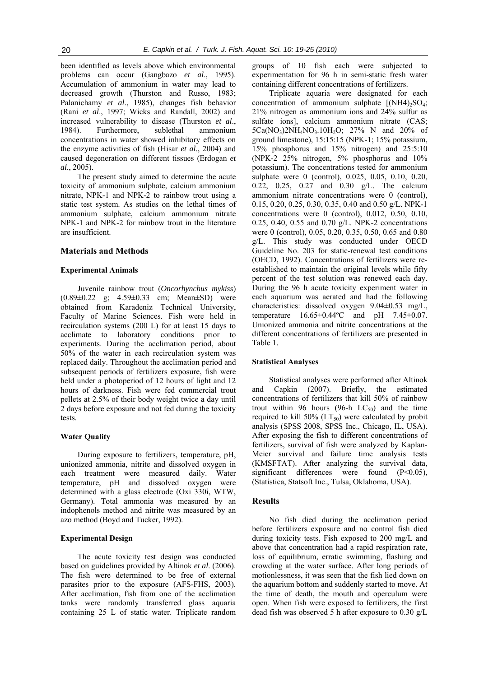been identified as levels above which environmental problems can occur (Gangbazo *et al*., 1995). Accumulation of ammonium in water may lead to decreased growth (Thurston and Russo, 1983; Palanichamy *et al*., 1985), changes fish behavior (Rani *et al*., 1997; Wicks and Randall, 2002) and increased vulnerability to disease (Thurston *et al*., 1984). Furthermore, sublethal ammonium concentrations in water showed inhibitory effects on the enzyme activities of fish (Hisar *et al*., 2004) and caused degeneration on different tissues (Erdogan *et al*., 2005).

The present study aimed to determine the acute toxicity of ammonium sulphate, calcium ammonium nitrate, NPK-1 and NPK-2 to rainbow trout using a static test system. As studies on the lethal times of ammonium sulphate, calcium ammonium nitrate NPK-1 and NPK-2 for rainbow trout in the literature are insufficient.

#### **Materials and Methods**

#### **Experimental Animals**

Juvenile rainbow trout (*Oncorhynchus mykiss*) (0.89±0.22 g; 4.59±0.33 cm; Mean±SD) were obtained from Karadeniz Technical University, Faculty of Marine Sciences. Fish were held in recirculation systems (200 L) for at least 15 days to acclimate to laboratory conditions prior to experiments. During the acclimation period, about 50% of the water in each recirculation system was replaced daily. Throughout the acclimation period and subsequent periods of fertilizers exposure, fish were held under a photoperiod of 12 hours of light and 12 hours of darkness. Fish were fed commercial trout pellets at 2.5% of their body weight twice a day until 2 days before exposure and not fed during the toxicity tests.

#### **Water Quality**

During exposure to fertilizers, temperature, pH, unionized ammonia, nitrite and dissolved oxygen in each treatment were measured daily. Water temperature, pH and dissolved oxygen were determined with a glass electrode (Oxi 330i, WTW, Germany). Total ammonia was measured by an indophenols method and nitrite was measured by an azo method (Boyd and Tucker, 1992).

#### **Experimental Design**

The acute toxicity test design was conducted based on guidelines provided by Altinok *et al*. (2006). The fish were determined to be free of external parasites prior to the exposure (AFS-FHS, 2003). After acclimation, fish from one of the acclimation tanks were randomly transferred glass aquaria containing 25 L of static water. Triplicate random

groups of 10 fish each were subjected to experimentation for 96 h in semi-static fresh water containing different concentrations of fertilizers.

Triplicate aquaria were designated for each concentration of ammonium sulphate  $[(NH4)_2SO_4]$ ; 21% nitrogen as ammonium ions and 24% sulfur as sulfate ions], calcium ammonium nitrate (CAS;  $5Ca(NO_3)2NH_4NO_3.10H_2O$ ;  $27%$  N and  $20%$  of ground limestone), 15:15:15 (NPK-1; 15% potassium, 15% phosphorus and 15% nitrogen) and 25:5:10 (NPK-2 25% nitrogen, 5% phosphorus and 10% potassium). The concentrations tested for ammonium sulphate were 0 (control), 0.025, 0.05, 0.10, 0.20, 0.22, 0.25, 0.27 and 0.30 g/L. The calcium ammonium nitrate concentrations were 0 (control), 0.15, 0.20, 0.25, 0.30, 0.35, 0.40 and 0.50 g/L. NPK-1 concentrations were 0 (control), 0.012, 0.50, 0.10, 0.25, 0.40, 0.55 and 0.70 g/L. NPK-2 concentrations were 0 (control), 0.05, 0.20, 0.35, 0.50, 0.65 and 0.80 g/L. This study was conducted under OECD Guideline No. 203 for static-renewal test conditions (OECD, 1992). Concentrations of fertilizers were reestablished to maintain the original levels while fifty percent of the test solution was renewed each day. During the 96 h acute toxicity experiment water in each aquarium was aerated and had the following characteristics: dissolved oxygen 9.04±0.53 mg/L, temperature 16.65±0.44ºC and pH 7.45±0.07. Unionized ammonia and nitrite concentrations at the different concentrations of fertilizers are presented in Table 1.

#### **Statistical Analyses**

Statistical analyses were performed after Altinok and Capkin (2007). Briefly, the estimated concentrations of fertilizers that kill 50% of rainbow trout within 96 hours (96-h  $LC_{50}$ ) and the time required to kill 50% ( $LT_{50}$ ) were calculated by probit analysis (SPSS 2008, SPSS Inc., Chicago, IL, USA). After exposing the fish to different concentrations of fertilizers, survival of fish were analyzed by Kaplan-Meier survival and failure time analysis tests (KMSFTAT). After analyzing the survival data, significant differences were found (P<0.05), (Statistica, Statsoft Inc., Tulsa, Oklahoma, USA).

#### **Results**

No fish died during the acclimation period before fertilizers exposure and no control fish died during toxicity tests. Fish exposed to 200 mg/L and above that concentration had a rapid respiration rate, loss of equilibrium, erratic swimming, flashing and crowding at the water surface. After long periods of motionlessness, it was seen that the fish lied down on the aquarium bottom and suddenly started to move. At the time of death, the mouth and operculum were open. When fish were exposed to fertilizers, the first dead fish was observed 5 h after exposure to 0.30 g/L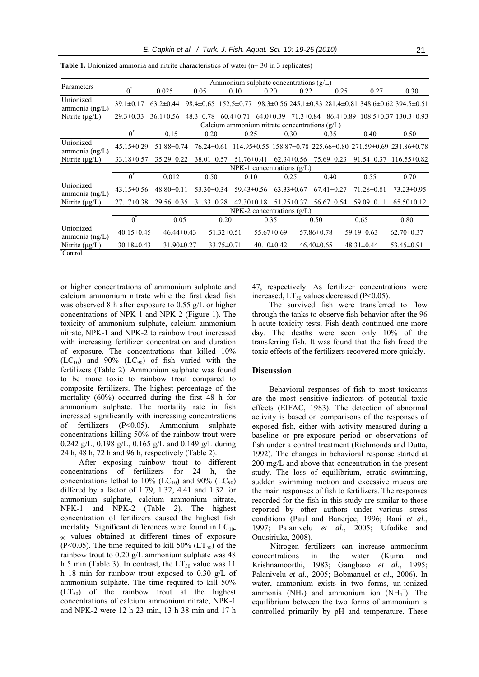| Parameters                    | Ammonium sulphate concentrations $(g/L)$        |                  |                  |                  |                             |                  |                  |                                                                                                                     |                   |
|-------------------------------|-------------------------------------------------|------------------|------------------|------------------|-----------------------------|------------------|------------------|---------------------------------------------------------------------------------------------------------------------|-------------------|
|                               | $\theta$                                        | 0.025            | 0.05             | 0.10             | 0.20                        | 0.22             | 0.25             | 0.27                                                                                                                | 0.30              |
| Unionized<br>ammonia $(ng/L)$ | $39.1 \pm 0.17$                                 | $63.2 \pm 0.44$  |                  |                  |                             |                  |                  | $98.4\pm0.65$ 152.5 $\pm$ 0.77 198.3 $\pm$ 0.56 245.1 $\pm$ 0.83 281.4 $\pm$ 0.81 348.6 $\pm$ 0.62 394.5 $\pm$ 0.51 |                   |
| Nitrite $(\mu g/L)$           | $29.3 \pm 0.33$                                 | $36.1 \pm 0.56$  | $48.3 \pm 0.78$  | $60.4 \pm 0.71$  | $64.0\pm0.39$ $71.3\pm0.84$ |                  |                  | $86.4\pm0.89$ $108.5\pm0.37$ $130.3\pm0.93$                                                                         |                   |
|                               | Calcium ammonium nitrate concentrations $(g/L)$ |                  |                  |                  |                             |                  |                  |                                                                                                                     |                   |
|                               | ×<br>0                                          | 0.15             | 0.20             | 0.25             |                             | 0.30             | 0.35             | 0.40                                                                                                                | 0.50              |
| Unionized<br>ammonia $(ng/L)$ | $45.15 \pm 0.29$                                | $51.88\pm0.74$   | $76.24\pm0.61$   |                  |                             |                  |                  | $114.95\pm0.55$ $158.87\pm0.78$ $225.66\pm0.80$ $271.59\pm0.69$ $231.86\pm0.78$                                     |                   |
| Nitrite $(\mu g/L)$           | 33.18 ± 0.57                                    | $35.29 \pm 0.22$ | $38.01 \pm 0.57$ | $51.76 \pm 0.41$ |                             | $62.34 \pm 0.56$ | $75.69 \pm 0.23$ | $91.54 \pm 0.37$                                                                                                    | $116.55 \pm 0.82$ |
|                               | NPK-1 concentrations $(g/L)$                    |                  |                  |                  |                             |                  |                  |                                                                                                                     |                   |
|                               | ∗<br>0                                          | 0.012            | 0.50             | 0.10             |                             | 0.25             | 0.40             | 0.55                                                                                                                | 0.70              |
| Unionized<br>ammonia $(ng/L)$ | $43.15 \pm 0.56$                                | $48.80 \pm 0.11$ | $53.30\pm0.34$   | $59.43 \pm 0.56$ |                             | $63.33 \pm 0.67$ | $67.41 \pm 0.27$ | $71.28 \pm 0.81$                                                                                                    | $73.23 \pm 0.95$  |
| Nitrite $(\mu g/L)$           | $27.17\pm0.38$                                  | $29.56 \pm 0.35$ | $31.33 \pm 0.28$ | $42.30\pm0.18$   |                             | $51.25 \pm 0.37$ | $56.67 \pm 0.54$ | $59.09 \pm 0.11$                                                                                                    | $65.50 \pm 0.12$  |
|                               | NPK-2 concentrations $(g/L)$                    |                  |                  |                  |                             |                  |                  |                                                                                                                     |                   |
|                               | $\overline{0}^*$                                | 0.05             |                  | 0.20             | 0.35                        |                  | 0.50             | 0.65                                                                                                                | 0.80              |
| Unionized<br>ammonia $(ng/L)$ | $40.15 \pm 0.45$                                | $46.44\pm0.43$   |                  | $51.32 \pm 0.51$ | $55.67 \pm 0.69$            |                  | $57.86 \pm 0.78$ | $59.19 \pm 0.63$                                                                                                    | $62.70 \pm 0.37$  |
| Nitrite $(\mu g/L)$           | $30.18 \pm 0.43$                                | $31.90 \pm 0.27$ |                  | $33.75 \pm 0.71$ | $40.10 \pm 0.42$            |                  | $46.40 \pm 0.65$ | $48.31 \pm 0.44$                                                                                                    | $53.45 \pm 0.91$  |
| 'Control                      |                                                 |                  |                  |                  |                             |                  |                  |                                                                                                                     |                   |

**Table 1.** Unionized ammonia and nitrite characteristics of water (n= 30 in 3 replicates)

or higher concentrations of ammonium sulphate and calcium ammonium nitrate while the first dead fish was observed 8 h after exposure to 0.55 g/L or higher concentrations of NPK-1 and NPK-2 (Figure 1). The toxicity of ammonium sulphate, calcium ammonium nitrate, NPK-1 and NPK-2 to rainbow trout increased with increasing fertilizer concentration and duration of exposure. The concentrations that killed 10%  $(LC_{10})$  and 90%  $(LC_{90})$  of fish varied with the fertilizers (Table 2). Ammonium sulphate was found to be more toxic to rainbow trout compared to composite fertilizers. The highest percentage of the mortality (60%) occurred during the first 48 h for ammonium sulphate. The mortality rate in fish increased significantly with increasing concentrations of fertilizers (P<0.05). Ammonium sulphate concentrations killing 50% of the rainbow trout were 0.242 g/L, 0.198 g/L, 0.165 g/L and 0.149 g/L during 24 h, 48 h, 72 h and 96 h, respectively (Table 2).

After exposing rainbow trout to different concentrations of fertilizers for 24 h, the concentrations lethal to  $10\%$  (LC<sub>10</sub>) and 90% (LC<sub>90</sub>) differed by a factor of 1.79, 1.32, 4.41 and 1.32 for ammonium sulphate, calcium ammonium nitrate, NPK-1 and NPK-2 (Table 2). The highest concentration of fertilizers caused the highest fish mortality. Significant differences were found in  $LC_{10}$ 90 values obtained at different times of exposure (P<0.05). The time required to kill 50% ( $LT_{50}$ ) of the rainbow trout to 0.20 g/L ammonium sulphate was 48 h 5 min (Table 3). In contrast, the  $LT_{50}$  value was 11 h 18 min for rainbow trout exposed to 0.30 g/L of ammonium sulphate. The time required to kill 50%  $(LT<sub>50</sub>)$  of the rainbow trout at the highest concentrations of calcium ammonium nitrate, NPK-1 and NPK-2 were 12 h 23 min, 13 h 38 min and 17 h 47, respectively. As fertilizer concentrations were increased,  $LT_{50}$  values decreased (P<0.05).

The survived fish were transferred to flow through the tanks to observe fish behavior after the 96 h acute toxicity tests. Fish death continued one more day. The deaths were seen only 10% of the transferring fish. It was found that the fish freed the toxic effects of the fertilizers recovered more quickly.

#### **Discussion**

Behavioral responses of fish to most toxicants are the most sensitive indicators of potential toxic effects (EIFAC, 1983). The detection of abnormal activity is based on comparisons of the responses of exposed fish, either with activity measured during a baseline or pre-exposure period or observations of fish under a control treatment (Richmonds and Dutta, 1992). The changes in behavioral response started at 200 mg/L and above that concentration in the present study. The loss of equilibrium, erratic swimming, sudden swimming motion and excessive mucus are the main responses of fish to fertilizers. The responses recorded for the fish in this study are similar to those reported by other authors under various stress conditions (Paul and Banerjee, 1996; Rani *et al*., 1997; Palanivelu *et al*., 2005; Ufodike and Onusiriuka, 2008).

Nitrogen fertilizers can increase ammonium concentrations in the water (Kuma and Krishnamoorthi, 1983; Gangbazo *et al*., 1995; Palanivelu *et al.*, 2005; Bobmanuel *et al*., 2006). In water, ammonium exists in two forms, un-ionized ammonia (NH<sub>3</sub>) and ammonium ion (NH<sub>4</sub><sup>+</sup>). The equilibrium between the two forms of ammonium is controlled primarily by pH and temperature. These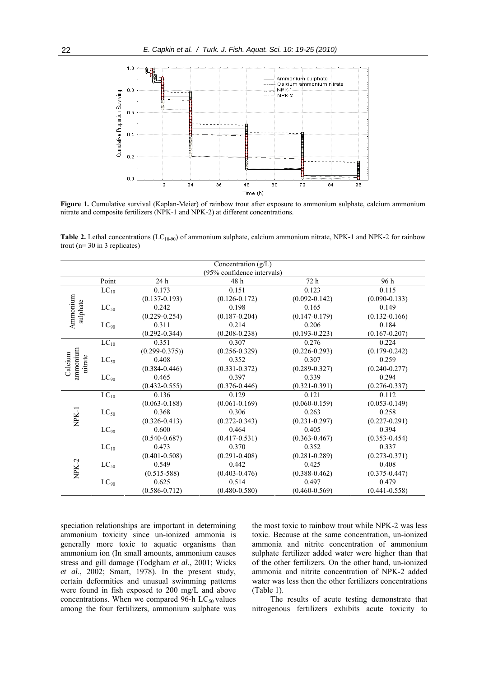

**Figure 1.** Cumulative survival (Kaplan-Meier) of rainbow trout after exposure to ammonium sulphate, calcium ammonium nitrate and composite fertilizers (NPK-1 and NPK-2) at different concentrations.

**Table 2.** Lethal concentrations (LC<sub>10-90</sub>) of ammonium sulphate, calcium ammonium nitrate, NPK-1 and NPK-2 for rainbow trout (n= 30 in 3 replicates)

| Concentration $(g/L)$<br>(95% confidence intervals) |           |                            |                            |                            |                            |
|-----------------------------------------------------|-----------|----------------------------|----------------------------|----------------------------|----------------------------|
|                                                     | Point     | 24 h                       | 48 h                       | 72 h                       | 96 h                       |
| Ammonium<br>sulphate                                | $LC_{10}$ | 0.173                      | 0.151                      | 0.123                      | 0.115                      |
|                                                     |           | $(0.137 - 0.193)$          | $(0.126 - 0.172)$          | $(0.092 - 0.142)$          | $(0.090 - 0.133)$          |
|                                                     | $LC_{50}$ | 0.242                      | 0.198                      | 0.165                      | 0.149                      |
|                                                     |           | $(0.229 - 0.254)$          | $(0.187 - 0.204)$          | $(0.147 - 0.179)$          | $(0.132 - 0.166)$          |
|                                                     | $LC_{90}$ | 0.311                      | 0.214                      | 0.206                      | 0.184                      |
|                                                     |           | $(0.292 - 0.344)$          | $(0.208 - 0.238)$          | $(0.193 - 0.223)$          | $(0.167 - 0.207)$          |
|                                                     | $LC_{10}$ | 0.351                      | 0.307                      | 0.276                      | 0.224                      |
| ammonium<br>Calcium<br>nitrate                      |           | $(0.299 - 0.375))$         | $(0.256 - 0.329)$          | $(0.226 - 0.293)$          | $(0.179 - 0.242)$          |
|                                                     | $LC_{50}$ | 0.408                      | 0.352                      | 0.307                      | 0.259                      |
|                                                     |           | $(0.384 - 0.446)$          | $(0.331 - 0.372)$          | $(0.289 - 0.327)$          | $(0.240 - 0.277)$          |
|                                                     | $LC_{90}$ | 0.465                      | 0.397                      | 0.339                      | 0.294                      |
|                                                     |           | $(0.432 - 0.555)$          | $(0.376 - 0.446)$          | $(0.321 - 0.391)$          | $(0.276 - 0.337)$          |
|                                                     | $LC_{10}$ | 0.136                      | 0.129                      | 0.121                      | 0.112                      |
|                                                     |           | $(0.063 - 0.188)$          | $(0.061 - 0.169)$          | $(0.060 - 0.159)$          | $(0.053 - 0.149)$          |
| NPK-1                                               | $LC_{50}$ | 0.368                      | 0.306                      | 0.263                      | 0.258                      |
|                                                     |           | $(0.326 - 0.413)$          | $(0.272 - 0.343)$          | $(0.231 - 0.297)$          | $(0.227 - 0.291)$          |
|                                                     | $LC_{90}$ | 0.600                      | 0.464                      | 0.405                      | 0.394                      |
|                                                     |           |                            |                            |                            |                            |
| NPK-2                                               | $LC_{10}$ | $(0.540 - 0.687)$<br>0.473 | $(0.417 - 0.531)$<br>0.370 | $(0.363 - 0.467)$<br>0.352 | $(0.353 - 0.454)$<br>0.337 |
|                                                     |           | $(0.401 - 0.508)$          | $(0.291 - 0.408)$          | $(0.281 - 0.289)$          | $(0.273 - 0.371)$          |
|                                                     | $LC_{50}$ | 0.549                      | 0.442                      | 0.425                      | 0.408                      |
|                                                     |           |                            |                            |                            |                            |
|                                                     |           | $(0.515 - 588)$<br>0.625   | $(0.403 - 0.476)$          | $(0.388 - 0.462)$<br>0.497 | $(0.375 - 0.447)$<br>0.479 |
|                                                     | $LC_{90}$ |                            | 0.514                      |                            |                            |
|                                                     |           | $(0.586 - 0.712)$          | $(0.480 - 0.580)$          | $(0.460 - 0.569)$          | $(0.441 - 0.558)$          |

speciation relationships are important in determining ammonium toxicity since un-ionized ammonia is generally more toxic to aquatic organisms than ammonium ion (In small amounts, ammonium causes stress and gill damage (Todgham *et al*., 2001; Wicks *et al*., 2002; Smart, 1978). In the present study, certain deformities and unusual swimming patterns were found in fish exposed to 200 mg/L and above concentrations. When we compared 96-h  $LC_{50}$  values among the four fertilizers, ammonium sulphate was

the most toxic to rainbow trout while NPK-2 was less toxic. Because at the same concentration, un-ionized ammonia and nitrite concentration of ammonium sulphate fertilizer added water were higher than that of the other fertilizers. On the other hand, un-ionized ammonia and nitrite concentration of NPK-2 added water was less then the other fertilizers concentrations (Table 1).

The results of acute testing demonstrate that nitrogenous fertilizers exhibits acute toxicity to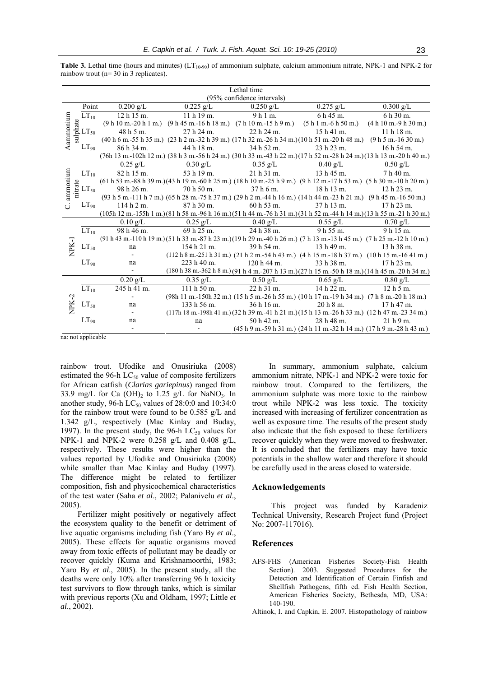| Lethal time                                                       |                  |                    |                                                                                                                               |                    |                                                                          |                         |  |  |
|-------------------------------------------------------------------|------------------|--------------------|-------------------------------------------------------------------------------------------------------------------------------|--------------------|--------------------------------------------------------------------------|-------------------------|--|--|
| (95% confidence intervals)                                        |                  |                    |                                                                                                                               |                    |                                                                          |                         |  |  |
|                                                                   | Point            | $0.200$ g/L        | $0.225$ g/L                                                                                                                   | $0.250$ g/L        | $0.275$ g/L                                                              | $0.300$ g/L             |  |  |
| Aammonium<br>$\frac{1}{2} \sum_{s=1}^{\infty} \Gamma \Gamma_{s0}$ | $LT_{10}$        | 12 h 15 m.         | 11 h 19 m.                                                                                                                    | 9h1m               | $6 h 45 m$ .                                                             | 6 h 30 m.               |  |  |
|                                                                   |                  |                    | $(9 h 10 m - 20 h 1 m)$ $(9 h 45 m - 16 h 18 m)$ $(7 h 10 m - 15 h 9 m)$ $(5 h 1 m - 6 h 50 m)$                               |                    |                                                                          | $(4 h 10 m.-9 h 30 m.)$ |  |  |
|                                                                   |                  | 48 h 5 m.          | $27h24m$ .                                                                                                                    | 22 h 24 m.         | $15h41m$ .                                                               | $11h18m$ .              |  |  |
|                                                                   |                  |                    | $(40 h 6 m - 55 h 35 m.)$ $(23 h 2 m - 32 h 39 m.)$ $(17 h 32 m - 26 h 34 m.)$ $(10 h 51 m - 20 h 48 m.)$                     |                    |                                                                          | $(9 h 5 m - 16 30 m)$   |  |  |
|                                                                   | LT <sub>90</sub> | $86h34m$ .         | 44 h 18 m.                                                                                                                    | 34 h 52 m.         | 23 h 23 m.                                                               | $16h54m$ .              |  |  |
|                                                                   |                  |                    | (76h 13 m.-102h 12 m.) (38 h 3 m.-56 h 24 m.) (30 h 33 m.-43 h 22 m.) (17 h 52 m.-28 h 24 m.) (13 h 13 m.-20 h 40 m.)         |                    |                                                                          |                         |  |  |
| ammonium<br>nitrate                                               |                  | $0.25$ g/L         | $0.30$ g/L                                                                                                                    | $0.35$ g/L         | $0.40 \text{ g/L}$                                                       | $0.50 \text{ g/L}$      |  |  |
|                                                                   | $LT_{10}$        | $82 h 15 m$ .      | 53 h $19$ m.                                                                                                                  | 21 h 31 m.         | $13h45m$ .                                                               | 7 h 40 m.               |  |  |
|                                                                   |                  |                    | (61 h 53 m, -88 h 39 m, )(43 h 19 m, -60 h 25 m, ) (18 h 10 m, -25 h 9 m, ) (9 h 12 m, -17 h 53 m, ) (5 h 30 m, -10 h 20 m, ) |                    |                                                                          |                         |  |  |
|                                                                   | $LT_{50}$        | 98 h 26 m.         | 70 h 50 m.                                                                                                                    | $37h6m$ .          | $18h13m$ .                                                               | $12 h 23 m$ .           |  |  |
|                                                                   |                  |                    | (93 h 5 m, -111 h 7 m) (65 h 28 m, -75 h 37 m) (29 h 2 m, -44 h 16 m) (14 h 44 m, -23 h 21 m) (9 h 45 m, -16 50 m)            |                    |                                                                          |                         |  |  |
|                                                                   | LT <sub>90</sub> | $114h2m$ .         | 87 h 30 m.                                                                                                                    | $60 h 53 m$ .      | 37 h 13 m.                                                               | $17h23m$ .              |  |  |
|                                                                   |                  |                    | $(105h 12 m. 155h 1 m.)(81h 58 m. 96h 16 m.)(51h 44 m. 76h 31 m.)(31h 52 m. 44h 14 m.)(13h 55 m. 21h 30 m.)$                  |                    |                                                                          |                         |  |  |
| NPK-1                                                             |                  | $0.10 \text{ g/L}$ | $0.25$ g/L                                                                                                                    | $0.40 \text{ g/L}$ | $0.55$ g/L                                                               | $0.70 \text{ g/L}$      |  |  |
|                                                                   | $LT_{10}$        | 98 h 46 m.         | 69 h 25 m.                                                                                                                    | 24 h 38 m.         | $9 h 55 m$ .                                                             | $9 h 15 m$ .            |  |  |
|                                                                   |                  |                    | (91 h 43 m.-110 h 19 m.) (51 h 33 m.-87 h 23 m.) (19 h 29 m.-40 h 26 m.) (7 h 13 m.-13 h 45 m.) (7 h 25 m.-12 h 10 m.)        |                    |                                                                          |                         |  |  |
|                                                                   | $LT_{50}$        | na                 | 154 h 21 m.                                                                                                                   | 39 h 54 m.         | $13h49m$ .                                                               | $13h38m$ .              |  |  |
|                                                                   |                  |                    | $(112 h 8 m - 251 h 31 m)$ $(21 h 2 m - 54 h 43 m)$ $(4 h 15 m - 18 h 37 m)$ $(10 h 15 m - 16 41 m)$                          |                    |                                                                          |                         |  |  |
|                                                                   | LT <sub>90</sub> | na                 | 223 h 40 m.                                                                                                                   | $120h44m$ .        | 33 h 38 m.                                                               | $17h23m$ .              |  |  |
|                                                                   |                  |                    | $(180 h 38 m - 362 h 8 m)$ (91 h 4 m - 207 h 13 m ) (27 h 15 m - 50 h 18 m ) (14 h 45 m - 20 h 34 m )                         |                    |                                                                          |                         |  |  |
| NPK-2                                                             |                  | $0.20$ g/L         | $0.35$ g/L                                                                                                                    | $0.50$ g/L         | $0.65$ g/L                                                               | $0.80$ g/L              |  |  |
|                                                                   | $LT_{10}$        | 245 h 41 m.        | $111h50m$ .                                                                                                                   | $22 h 31 m$ .      | 14 h $22$ m.                                                             | 12 h.5 m.               |  |  |
|                                                                   |                  |                    | (98h 11 m. -150h 32 m.) (15 h 5 m. -26 h 55 m.) (10 h 17 m. -19 h 34 m.) (7 h 8 m. -20 h 18 m.)                               |                    |                                                                          |                         |  |  |
|                                                                   | $LT_{50}$        | na                 | 133 h 56 m.                                                                                                                   | 36 h 16 m.         | $20h8m$ .                                                                | 17 h 47 m.              |  |  |
|                                                                   |                  |                    | (117h 18 m - 198h 41 m.) (32 h 39 m - 41 h 21 m.) (15 h 13 m - 26 h 33 m.) (12 h 47 m - 23 34 m.)                             |                    |                                                                          |                         |  |  |
|                                                                   | LT <sub>90</sub> | na                 | na                                                                                                                            | 50 h 42 m.         | 28 h 48 m.                                                               | $21h9m$ .               |  |  |
|                                                                   |                  |                    |                                                                                                                               |                    | (45 h 9 m - 59 h 31 m.) (24 h 11 m - 32 h 14 m.) (17 h 9 m - 28 h 43 m.) |                         |  |  |

**Table 3.** Lethal time (hours and minutes)  $(LT_{10-90})$  of ammonium sulphate, calcium ammonium nitrate, NPK-1 and NPK-2 for rainbow trout (n= 30 in 3 replicates).

na: not applicable

rainbow trout. Ufodike and Onusiriuka (2008) estimated the 96-h  $LC_{50}$  value of composite fertilizers for African catfish (*Clarias gariepinus*) ranged from 33.9 mg/L for Ca  $(OH)_2$  to 1.25 g/L for NaNO<sub>3</sub>. In another study, 96-h LC<sub>50</sub> values of 28:0:0 and 10:34:0 for the rainbow trout were found to be 0.585 g/L and 1.342 g/L, respectively (Mac Kinlay and Buday, 1997). In the present study, the 96-h  $LC_{50}$  values for NPK-1 and NPK-2 were 0.258 g/L and 0.408 g/L, respectively. These results were higher than the values reported by Ufodike and Onusiriuka (2008) while smaller than Mac Kinlay and Buday (1997). The difference might be related to fertilizer composition, fish and physicochemical characteristics of the test water (Saha *et al*., 2002; Palanivelu *et al*., 2005).

Fertilizer might positively or negatively affect the ecosystem quality to the benefit or detriment of live aquatic organisms including fish (Yaro By *et al*., 2005). These effects for aquatic organisms moved away from toxic effects of pollutant may be deadly or recover quickly (Kuma and Krishnamoorthi, 1983; Yaro By *et al*., 2005). In the present study, all the deaths were only 10% after transferring 96 h toxicity test survivors to flow through tanks, which is similar with previous reports (Xu and Oldham, 1997; Little *et al*., 2002).

In summary, ammonium sulphate, calcium ammonium nitrate, NPK-1 and NPK-2 were toxic for rainbow trout. Compared to the fertilizers, the ammonium sulphate was more toxic to the rainbow trout while NPK-2 was less toxic. The toxicity increased with increasing of fertilizer concentration as well as exposure time. The results of the present study also indicate that the fish exposed to these fertilizers recover quickly when they were moved to freshwater. It is concluded that the fertilizers may have toxic potentials in the shallow water and therefore it should be carefully used in the areas closed to waterside.

#### **Acknowledgements**

This project was funded by Karadeniz Technical University, Research Project fund (Project No: 2007-117016).

#### **References**

- AFS-FHS (American Fisheries Society-Fish Health Section). 2003. Suggested Procedures for the Detection and Identification of Certain Finfish and Shellfish Pathogens, fifth ed. Fish Health Section, American Fisheries Society, Bethesda, MD, USA: 140-190.
- Altinok, I. and Capkin, E. 2007. Histopathology of rainbow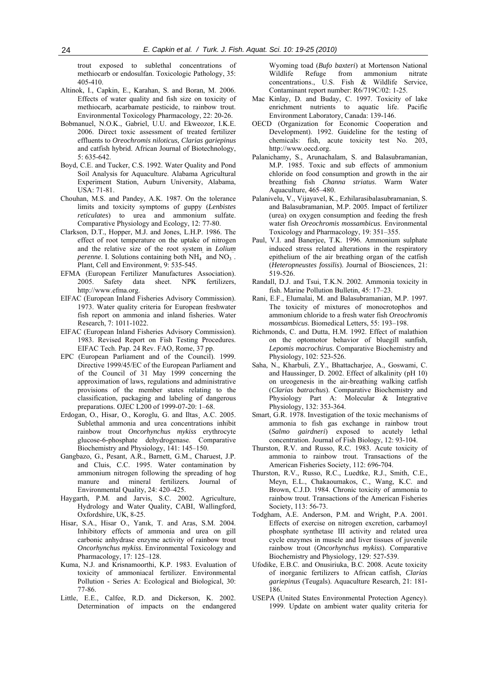trout exposed to sublethal concentrations of methiocarb or endosulfan. Toxicologic Pathology, 35: 405-410.

- Altinok, I., Capkin, E., Karahan, S. and Boran, M. 2006. Effects of water quality and fish size on toxicity of methiocarb, acarbamate pesticide, to rainbow trout. Environmental Toxicology Pharmacology, 22: 20-26.
- Bobmanuel, N.O.K., Gabriel, U.U. and Ekweozor, I.K.E. 2006. Direct toxic assessment of treated fertilizer effluents to *Oreochromis niloticus*, *Clarias gariepinus* and catfish hybrid. African Journal of Biotechnology, 5: 635-642.
- Boyd, C.E. and Tucker, C.S. 1992. Water Quality and Pond Soil Analysis for Aquaculture. Alabama Agricultural Experiment Station, Auburn University, Alabama, USA: 71-81.
- Chouhan, M.S. and Pandey, A.K. 1987. On the tolerance limits and toxicity symptoms of guppy (*Lenbistes reticulates*) to urea and ammonium sulfate. Comparative Physiology and Ecology, 12: 77-80.
- Clarkson, D.T., Hopper, M.J. and Jones, L.H.P. 1986. The effect of root temperature on the uptake of nitrogen and the relative size of the root system in *Lolium perenne*. I. Solutions containing both  $NH_4^-$  and  $NO_3^-$ . Plant, Cell and Environment, 9: 535-545.
- EFMA (European Fertilizer Manufactures Association). 2005. Safety data sheet. NPK fertilizers, http://www.efma.org.
- EIFAC (European Inland Fisheries Advisory Commission). 1973. Water quality criteria for European freshwater fish report on ammonia and inland fisheries. Water Research, 7: 1011-1022.
- EIFAC (European Inland Fisheries Advisory Commission). 1983. Revised Report on Fish Testing Procedures. EIFAC Tech. Pap. 24 Rev. FAO, Rome, 37 pp.
- EPC (European Parliament and of the Council). 1999. Directive 1999/45/EC of the European Parliament and of the Council of 31 May 1999 concerning the approximation of laws, regulations and administrative provisions of the member states relating to the classification, packaging and labeling of dangerous preparations. OJEC L200 of 1999-07-20: 1–68.
- Erdogan, O., Hisar, O., Koroglu, G. and Iltas, A.C. 2005. Sublethal ammonia and urea concentrations inhibit rainbow trout *Oncorhynchus mykiss* erythrocyte glucose-6-phosphate dehydrogenase. Comparative Biochemistry and Physiology, 141: 145–150.
- Gangbazo, G., Pesant, A.R., Barnett, G.M., Charuest, J.P. and Cluis, C.C. 1995. Water contamination by ammonium nitrogen following the spreading of hog manure and mineral fertilizers*.* Journal of Environmental Quality, 24: 420–425.
- Haygarth, P.M. and Jarvis, S.C. 2002. Agriculture, Hydrology and Water Quality, CABI, Wallingford, Oxfordshire, UK, 8-25.
- Hisar, S.A., Hisar O., Yanık, T. and Aras, S.M. 2004. Inhibitory effects of ammonia and urea on gill carbonic anhydrase enzyme activity of rainbow trout *Oncorhynchus mykiss*. Environmental Toxicology and Pharmacology, 17: 125–128.
- Kuma, N.J. and Krisnamoorthi, K.P. 1983. Evaluation of toxicity of ammoniacal fertilizer. Environmental Pollution - Series A: Ecological and Biological, 30: 77-86.
- Little, E.E., Calfee, R.D. and Dickerson, K. 2002. Determination of impacts on the endangered

Wyoming toad (*Bufo baxteri*) at Mortenson National Wildlife Refuge from ammonium nitrate concentrations., U.S. Fish & Wildlife Service, Contaminant report number: R6/719C/02: 1-25.

- Mac Kinlay, D. and Buday, C. 1997. Toxicity of lake enrichment nutrients to aquatic life. Pacific Environment Laboratory, Canada: 139-146.
- OECD (Organization for Economic Cooperation and Development). 1992. Guideline for the testing of chemicals: fish, acute toxicity test No. 203, http://www.oecd.org.
- Palanichamy, S., Arunachalam, S. and Balasubramanian, M.P. 1985. Toxic and sub effects of ammonium chloride on food consumption and growth in the air breathing fish *Channa striatus*. Warm Water Aquaculture, 465–480.
- Palanivelu, V., Vijayavel, K., Ezhilarasibalasubramanian, S. and Balasubramanian, M.P. 2005. Impact of fertilizer (urea) on oxygen consumption and feeding the fresh water fish *Oreochromis mossambicus*. Environmental Toxicology and Pharmacology, 19: 351–355.
- Paul, V.I. and Banerjee, T.K. 1996. Ammonium sulphate induced stress related alterations in the respiratory epithelium of the air breathing organ of the catfish (*Heteropneustes fossilis*). Journal of Biosciences, 21: 519-526.
- Randall, D.J. and Tsui, T.K.N. 2002. Ammonia toxicity in fish. Marine Pollution Bulletin, 45: 17–23.
- Rani, E.F., Elumalai, M. and Balasubramanian, M.P. 1997. The toxicity of mixtures of monocrotophos and ammonium chloride to a fresh water fish *Oreochromis mossambicus*. Biomedical Letters, 55: 193–198.
- Richmonds, C. and Dutta, H.M. 1992. Effect of malathion on the optomotor behavior of bluegill sunfish, *Lepomis macrochirus*. Comparative Biochemistry and Physiology, 102: 523-526.
- Saha, N., Kharbuli, Z.Y., Bhattacharjee, A., Goswami, C. and Haussinger, D. 2002. Effect of alkalinity (pH 10) on ureogenesis in the air-breathing walking catfish (*Clarias batrachus*). Comparative Biochemistry and Physiology Part A: Molecular & Integrative Physiology, 132: 353-364.
- Smart, G.R. 1978. Investigation of the toxic mechanisms of ammonia to fish gas exchange in rainbow trout (*Salmo gairdneri*) exposed to acutely lethal concentration. Journal of Fish Biology, 12: 93-104.
- Thurston, R.V. and Russo, R.C. 1983. Acute toxicity of ammonia to rainbow trout. Transactions of the American Fisheries Society, 112: 696-704.
- Thurston, R.V., Russo, R.C., Luedtke, R.J., Smith, C.E., Meyn, E.L., Chakaoumakos, C., Wang, K.C. and Brown, C.J.D. 1984. Chronic toxicity of ammonia to rainbow trout. Transactions of the American Fisheries Society, 113: 56-73.
- Todgham, A.E. Anderson, P.M. and Wright, P.A. 2001. Effects of exercise on nitrogen excretion, carbamoyl phosphate synthetase III activity and related urea cycle enzymes in muscle and liver tissues of juvenile rainbow trout (*Oncorhynchus mykiss*). Comparative Biochemistry and Physiology, 129: 527-539.
- Ufodike, E.B.C. and Onusiriuka, B.C. 2008. Acute toxicity of inorganic fertilizers to African catfish, *Clarias gariepinus* (Teugals). Aquaculture Research, 21: 181- 186.
- USEPA (United States Environmental Protection Agency). 1999. Update on ambient water quality criteria for